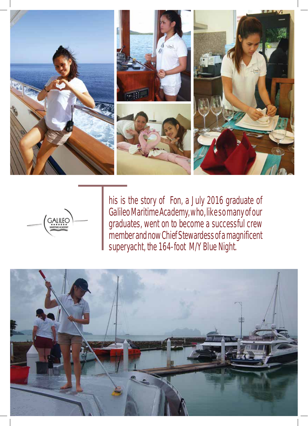



his is the story of Fon, a July 2016 graduate of Galileo Maritime Academy, who, like so many of our graduates, went on to become a successful crew his is the story of Fon, a July 2016 graduate of Galileo Maritime Academy, who, like so many of our graduates, went on to become a successful crew member and now Chief Stewardess of a magnificent superyacht, the 164-foot M